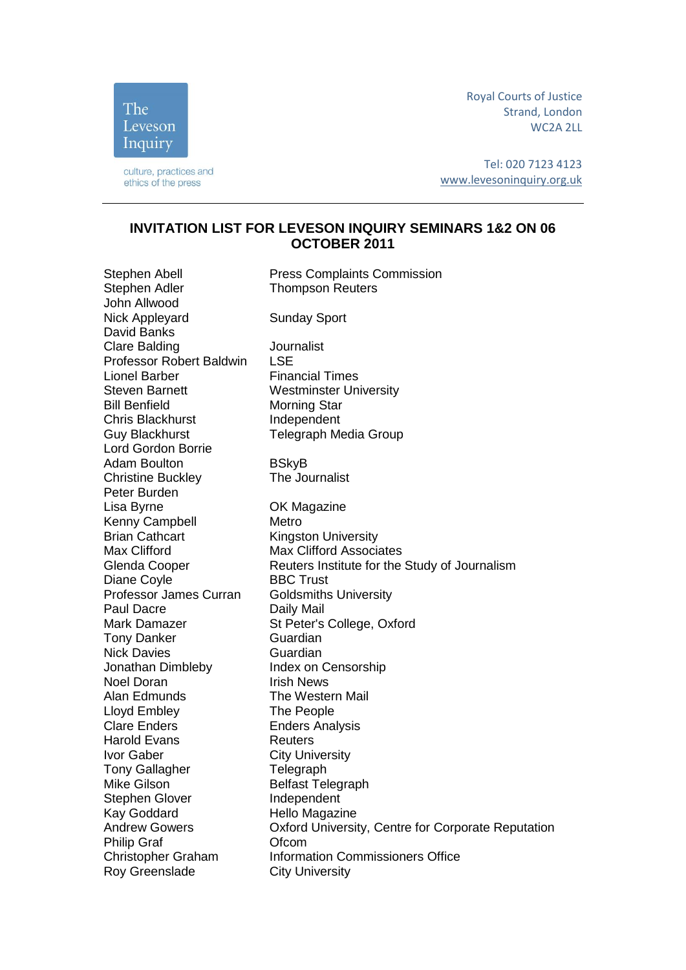Royal Courts of Justice Strand, London WC2A 2LL

culture, practices and ethics of the press

The Leveson Inquiry

> Tel: 020 7123 4123 [www.levesoninquiry.org.uk](http://www.levesoninquiry.org.uk/)

## **INVITATION LIST FOR LEVESON INQUIRY SEMINARS 1&2 ON 06 OCTOBER 2011**

Stephen Abell Press Complaints Commission Stephen Adler Thompson Reuters John Allwood Nick Appleyard Sunday Sport David Banks Clare Balding Journalist Professor Robert Baldwin LSE Lionel Barber Financial Times Steven Barnett Westminster University Bill Benfield Morning Star Chris Blackhurst **Independent** Guy Blackhurst Telegraph Media Group Lord Gordon Borrie Adam Boulton Bung BSkyB<br>
Christine Buckley Christine Buckley Christine Buckley Peter Burden Lisa Byrne OK Magazine Kenny Campbell Metro **Brian Cathcart Kingston University** Max Clifford Max Clifford Associates Glenda Cooper **Reuters Institute for the Study of Journalism** Diane Coyle BBC Trust Professor James Curran Goldsmiths University Paul Dacre Daily Mail Mark Damazer St Peter's College, Oxford Tony Danker Guardian Nick Davies **Guardian** Jonathan Dimbleby Index on Censorship Noel Doran **Irish News** Alan Edmunds The Western Mail Lloyd Embley<br>Clare Enders Finders Ana **Enders Analysis** Harold Evans **Reuters Ivor Gaber City University** Tony Gallagher Telegraph Mike Gilson Belfast Telegraph Stephen Glover **Independent** Kay Goddard Hello Magazine Andrew Gowers Oxford University, Centre for Corporate Reputation Philip Graf **Ofcom** Christopher Graham Information Commissioners Office Roy Greenslade City University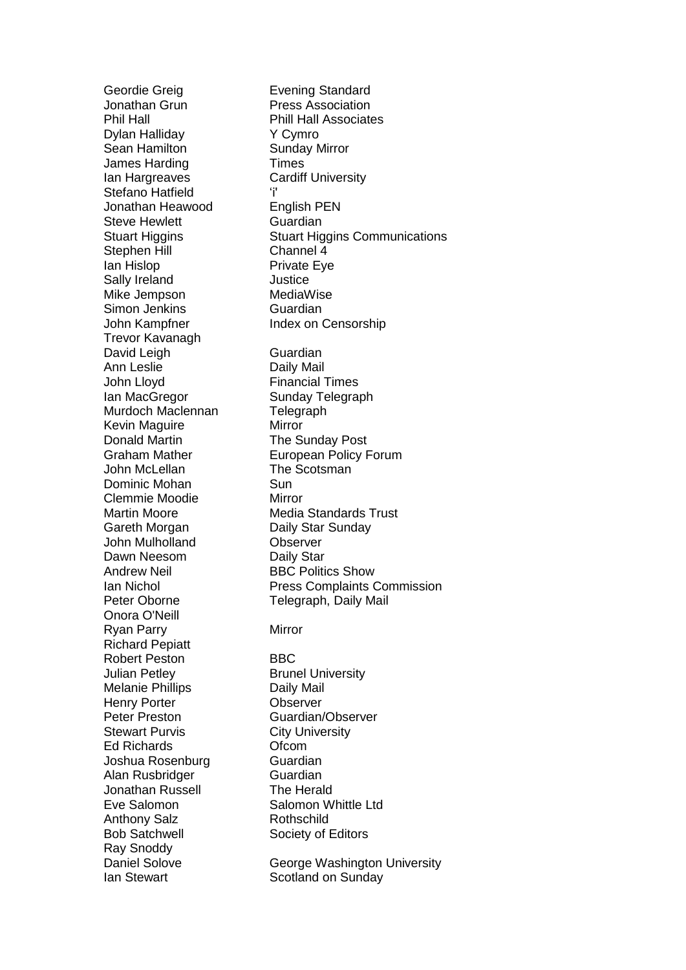Jonathan Grun Press Association Phil Hall Phill Hall Associates Dylan Halliday Y Cymro Sean Hamilton **Sunday Mirror** James Harding Times **Ian Hargreaves Cardiff University** Stefano Hatfield 'i' Jonathan Heawood English PEN Steve Hewlett **Guardian** Stephen Hill Channel 4 Ian Hislop **Private Eye** Sally Ireland **Justice** Mike Jempson MediaWise Simon Jenkins **Guardian** John Kampfner **Index on Censorship** Trevor Kavanagh David Leigh Guardian Ann Leslie Daily Mail John Lloyd Financial Times Ian MacGregor Sunday Telegraph Murdoch Maclennan Telegraph Kevin Maguire **Mirror** Donald Martin The Sunday Post John McLellan The Scotsman<br>
Dominic Mohan Sun Dominic Mohan Clemmie Moodie Mirror Gareth Morgan Daily Star Sunday John Mulholland **Observer** Dawn Neesom Daily Star Andrew Neil **BBC Politics Show** Onora O'Neill Ryan Parry Mirror Richard Pepiatt Robert Peston BBC Julian Petley **Brunel University** Melanie Phillips **Daily Mail** Henry Porter **CODING CODING THE CODING CODING CONGRESS** Peter Preston Guardian/Observer Stewart Purvis City University Ed Richards Ofcom Joshua Rosenburg **Guardian** Alan Rusbridger **Guardian** Jonathan Russell **The Herald** Eve Salomon Salomon Whittle Ltd Anthony Salz Rothschild Bob Satchwell Society of Editors Ray Snoddy Ian Stewart Scotland on Sunday

Geordie Greig **Evening Standard** Stuart Higgins Stuart Higgins Communications Graham Mather European Policy Forum Martin Moore Media Standards Trust Ian Nichol Press Complaints Commission Peter Oborne Telegraph, Daily Mail

Daniel Solove **George Washington University**